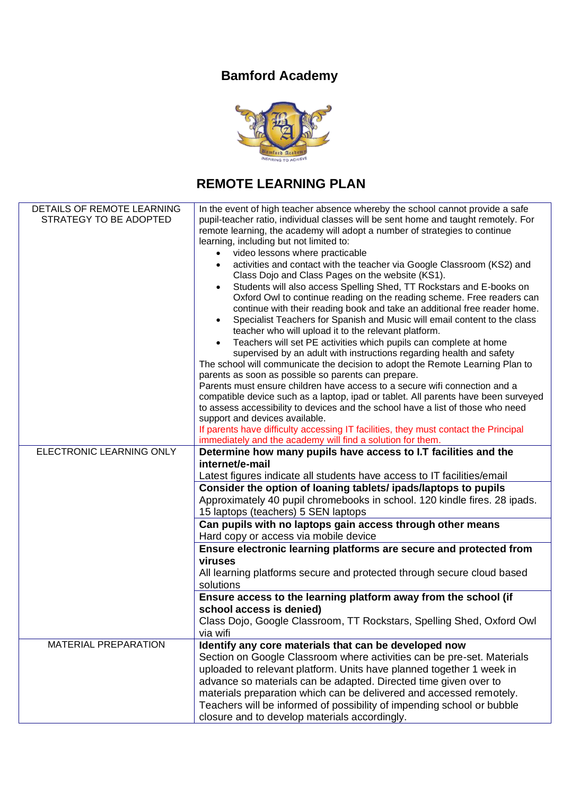## **Bamford Academy**



## **REMOTE LEARNING PLAN**

| DETAILS OF REMOTE LEARNING<br>STRATEGY TO BE ADOPTED | In the event of high teacher absence whereby the school cannot provide a safe<br>pupil-teacher ratio, individual classes will be sent home and taught remotely. For<br>remote learning, the academy will adopt a number of strategies to continue<br>learning, including but not limited to:<br>video lessons where practicable<br>$\bullet$<br>activities and contact with the teacher via Google Classroom (KS2) and<br>$\bullet$<br>Class Dojo and Class Pages on the website (KS1).<br>Students will also access Spelling Shed, TT Rockstars and E-books on<br>$\bullet$<br>Oxford Owl to continue reading on the reading scheme. Free readers can<br>continue with their reading book and take an additional free reader home.<br>Specialist Teachers for Spanish and Music will email content to the class<br>$\bullet$<br>teacher who will upload it to the relevant platform.<br>Teachers will set PE activities which pupils can complete at home<br>$\bullet$<br>supervised by an adult with instructions regarding health and safety<br>The school will communicate the decision to adopt the Remote Learning Plan to<br>parents as soon as possible so parents can prepare.<br>Parents must ensure children have access to a secure wifi connection and a<br>compatible device such as a laptop, ipad or tablet. All parents have been surveyed<br>to assess accessibility to devices and the school have a list of those who need<br>support and devices available. |
|------------------------------------------------------|----------------------------------------------------------------------------------------------------------------------------------------------------------------------------------------------------------------------------------------------------------------------------------------------------------------------------------------------------------------------------------------------------------------------------------------------------------------------------------------------------------------------------------------------------------------------------------------------------------------------------------------------------------------------------------------------------------------------------------------------------------------------------------------------------------------------------------------------------------------------------------------------------------------------------------------------------------------------------------------------------------------------------------------------------------------------------------------------------------------------------------------------------------------------------------------------------------------------------------------------------------------------------------------------------------------------------------------------------------------------------------------------------------------------------------------------------------------------------------|
|                                                      | If parents have difficulty accessing IT facilities, they must contact the Principal<br>immediately and the academy will find a solution for them.                                                                                                                                                                                                                                                                                                                                                                                                                                                                                                                                                                                                                                                                                                                                                                                                                                                                                                                                                                                                                                                                                                                                                                                                                                                                                                                                |
| ELECTRONIC LEARNING ONLY                             | Determine how many pupils have access to I.T facilities and the<br>internet/e-mail<br>Latest figures indicate all students have access to IT facilities/email                                                                                                                                                                                                                                                                                                                                                                                                                                                                                                                                                                                                                                                                                                                                                                                                                                                                                                                                                                                                                                                                                                                                                                                                                                                                                                                    |
|                                                      | Consider the option of loaning tablets/ipads/laptops to pupils<br>Approximately 40 pupil chromebooks in school. 120 kindle fires. 28 ipads.<br>15 laptops (teachers) 5 SEN laptops                                                                                                                                                                                                                                                                                                                                                                                                                                                                                                                                                                                                                                                                                                                                                                                                                                                                                                                                                                                                                                                                                                                                                                                                                                                                                               |
|                                                      | Can pupils with no laptops gain access through other means<br>Hard copy or access via mobile device                                                                                                                                                                                                                                                                                                                                                                                                                                                                                                                                                                                                                                                                                                                                                                                                                                                                                                                                                                                                                                                                                                                                                                                                                                                                                                                                                                              |
|                                                      | Ensure electronic learning platforms are secure and protected from<br>viruses<br>All learning platforms secure and protected through secure cloud based<br>solutions                                                                                                                                                                                                                                                                                                                                                                                                                                                                                                                                                                                                                                                                                                                                                                                                                                                                                                                                                                                                                                                                                                                                                                                                                                                                                                             |
|                                                      | Ensure access to the learning platform away from the school (if<br>school access is denied)<br>Class Dojo, Google Classroom, TT Rockstars, Spelling Shed, Oxford Owl<br>via wifi                                                                                                                                                                                                                                                                                                                                                                                                                                                                                                                                                                                                                                                                                                                                                                                                                                                                                                                                                                                                                                                                                                                                                                                                                                                                                                 |
| <b>MATERIAL PREPARATION</b>                          | Identify any core materials that can be developed now<br>Section on Google Classroom where activities can be pre-set. Materials<br>uploaded to relevant platform. Units have planned together 1 week in<br>advance so materials can be adapted. Directed time given over to<br>materials preparation which can be delivered and accessed remotely.<br>Teachers will be informed of possibility of impending school or bubble<br>closure and to develop materials accordingly.                                                                                                                                                                                                                                                                                                                                                                                                                                                                                                                                                                                                                                                                                                                                                                                                                                                                                                                                                                                                    |